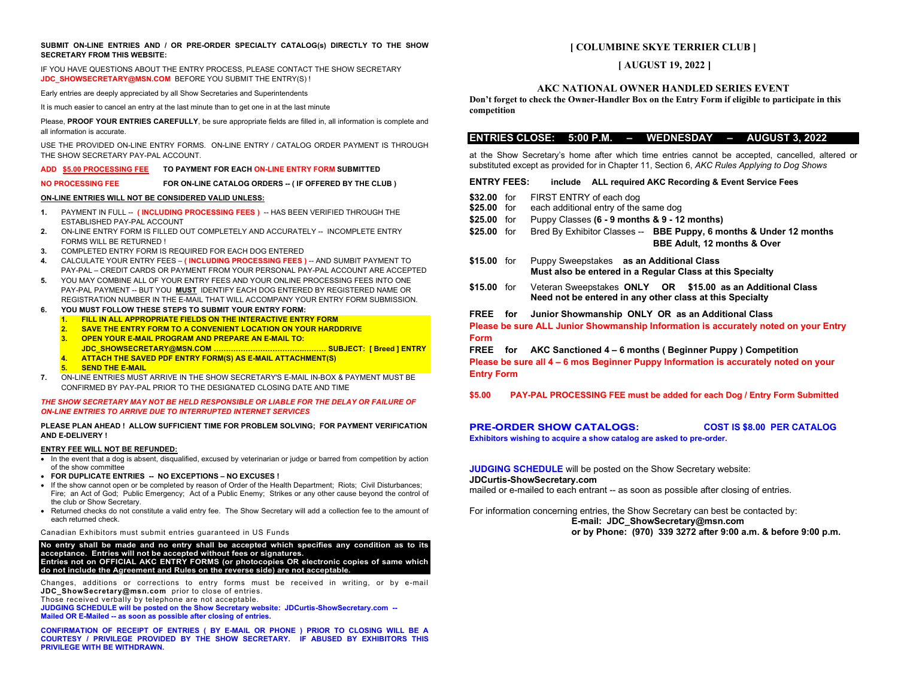### **SUBMIT ON-LINE ENTRIES AND / OR PRE-ORDER SPECIALTY CATALOG(s) DIRECTLY TO THE SHOW SECRETARY FROM THIS WEBSITE:**

IF YOU HAVE QUESTIONS ABOUT THE ENTRY PROCESS, PLEASE CONTACT THE SHOW SECRETARY **[JDC\\_SHOWSECRETARY@MSN.COM](mailto:JDC_SHOWSECRETARY@MSN.COM)** BEFORE YOU SUBMIT THE ENTRY(S) !

Early entries are deeply appreciated by all Show Secretaries and Superintendents

It is much easier to cancel an entry at the last minute than to get one in at the last minute

Please, **PROOF YOUR ENTRIES CAREFULLY**, be sure appropriate fields are filled in, all information is complete and all information is accurate.

USE THE PROVIDED ON-LINE ENTRY FORMS. ON-LINE ENTRY / CATALOG ORDER PAYMENT IS THROUGH THE SHOW SECRETARY PAY-PAL ACCOUNT.

## **ADD \$5.00 PROCESSING FEE TO PAYMENT FOR EACH ON-LINE ENTRY FORM SUBMITTED**

**NO PROCESSING FEE FOR ON-LINE CATALOG ORDERS -- ( IF OFFERED BY THE CLUB )** 

## **ON-LINE ENTRIES WILL NOT BE CONSIDERED VALID UNLESS:**

- **1.** PAYMENT IN FULL -- **( INCLUDING PROCESSING FEES )** -- HAS BEEN VERIFIED THROUGH THE ESTABLISHED PAY-PAL ACCOUNT
- **2.** ON-LINE ENTRY FORM IS FILLED OUT COMPLETELY AND ACCURATELY -- INCOMPLETE ENTRY FORMS WILL BE RETURNED !
- **3.** COMPLETED ENTRY FORM IS REQUIRED FOR EACH DOG ENTERED
- **4.** CALCULATE YOUR ENTRY FEES **( INCLUDING PROCESSING FEES )** -- AND SUMBIT PAYMENT TO PAY-PAL – CREDIT CARDS OR PAYMENT FROM YOUR PERSONAL PAY-PAL ACCOUNT ARE ACCEPTED
- **5.** YOU MAY COMBINE ALL OF YOUR ENTRY FEES AND YOUR ONLINE PROCESSING FEES INTO ONE PAY-PAL PAYMENT -- BUT YOU **MUST** IDENTIFY EACH DOG ENTERED BY REGISTERED NAME OR REGISTRATION NUMBER IN THE E-MAIL THAT WILL ACCOMPANY YOUR ENTRY FORM SUBMISSION.
- **6. YOU MUST FOLLOW THESE STEPS TO SUBMIT YOUR ENTRY FORM:**
	- **1. FILL IN ALL APPROPRIATE FIELDS ON THE INTERACTIVE ENTRY FORM**
	- **2. SAVE THE ENTRY FORM TO A CONVENIENT LOCATION ON YOUR HARDDRIVE**
	- **3. OPEN YOUR E-MAIL PROGRAM AND PREPARE AN E-MAIL TO:**
	- **JDC\_SHOWSECRETARY@MSN.COM ……………………………….……… SUBJECT: [ Breed ] ENTRY 4. ATTACH THE SAVED PDF ENTRY FORM(S) AS E-MAIL ATTACHMENT(S)**
	- **5. SEND THE E-MAIL**
- **7.** ON-LINE ENTRIES MUST ARRIVE IN THE SHOW SECRETARY'S E-MAIL IN-BOX & PAYMENT MUST BE CONFIRMED BY PAY-PAL PRIOR TO THE DESIGNATED CLOSING DATE AND TIME

### *THE SHOW SECRETARY MAY NOT BE HELD RESPONSIBLE OR LIABLE FOR THE DELAY OR FAILURE OF ON-LINE ENTRIES TO ARRIVE DUE TO INTERRUPTED INTERNET SERVICES*

### **PLEASE PLAN AHEAD ! ALLOW SUFFICIENT TIME FOR PROBLEM SOLVING; FOR PAYMENT VERIFICATION AND E-DELIVERY !**

## **ENTRY FEE WILL NOT BE REFUNDED:**

- In the event that a dog is absent, disqualified, excused by veterinarian or judge or barred from competition by action of the show committee
- **FOR DUPLICATE ENTRIES -- NO EXCEPTIONS – NO EXCUSES !**
- If the show cannot open or be completed by reason of Order of the Health Department; Riots; Civil Disturbances; Fire; an Act of God; Public Emergency; Act of a Public Enemy; Strikes or any other cause beyond the control of the club or Show Secretary.
- Returned checks do not constitute a valid entry fee. The Show Secretary will add a collection fee to the amount of each returned check.

### Canadian Exhibitors must submit entries guaranteed in US Funds

**No entry shall be made and no entry shall be accepted which specifies any condition as to its acceptance. Entries will not be accepted without fees or signatures. Entries not on OFFICIAL AKC ENTRY FORMS (or photocopies OR electronic copies of same which do not include the Agreement and Rules on the reverse side) are not acceptable.**

Changes, additions or corrections to entry forms must be received in writing, or by e-mail **[JDC\\_ShowSecretary@msn.com](mailto:JDC_ShowSecretary@msn.com)** prior to close of entries.

Those received verbally by telephone are not acceptable.

**JUDGING SCHEDULE will be posted on the Show Secretary website: JDCurtis-ShowSecretary.com -- Mailed OR E-Mailed -- as soon as possible after closing of entries.**

**CONFIRMATION OF RECEIPT OF ENTRIES ( BY E-MAIL OR PHONE ) PRIOR TO CLOSING WILL BE A COURTESY / PRIVILEGE PROVIDED BY THE SHOW SECRETARY. IF ABUSED BY EXHIBITORS THIS PRIVILEGE WITH BE WITHDRAWN.** 

# **[ COLUMBINE SKYE TERRIER CLUB ]**

# **[ AUGUST 19, 2022 ]**

## **AKC NATIONAL OWNER HANDLED SERIES EVENT**

**Don't forget to check the Owner-Handler Box on the Entry Form if eligible to participate in this competition**

# **ENTRIES CLOSE: 5:00 P.M. – WEDNESDAY – AUGUST 3, 2022**

at the Show Secretary's home after which time entries cannot be accepted, cancelled, altered or substituted except as provided for in Chapter 11, Section 6, *AKC Rules Applying to Dog Shows*

**ENTRY FEES: include ALL required AKC Recording & Event Service Fees**

- \$32.00 for FIRST ENTRY of each dog<br>\$25.00 for each additional entry of the
- each additional entry of the same dog
- **\$25.00** for Puppy Classes **(6 - 9 months & 9 - 12 months)**
- **\$25.00** for Bred By Exhibitor Classes -- **BBE Puppy, 6 months & Under 12 months BBE Adult, 12 months & Over**
- **\$15.00** for Puppy Sweepstakes **as an Additional Class Must also be entered in a Regular Class at this Specialty**
- **\$15.00** for Veteran Sweepstakes **ONLY OR \$15.00 as an Additional Class Need not be entered in any other class at this Specialty**
- **FREE for Junior Showmanship ONLY OR as an Additional Class**

**Please be sure ALL Junior Showmanship Information is accurately noted on your Entry Form**

## **FREE for AKC Sanctioned 4 – 6 months ( Beginner Puppy ) Competition**

**Please be sure all 4 – 6 mos Beginner Puppy Information is accurately noted on your Entry Form**

**\$5.00 PAY-PAL PROCESSING FEE must be added for each Dog / Entry Form Submitted**

## **PRE-ORDER SHOW CATALOGS: COST IS \$8.00 PER CATALOG Exhibitors wishing to acquire a show catalog are asked to pre-order.**

**JUDGING SCHEDULE** will be posted on the Show Secretary website: **JDCurtis-ShowSecretary.com**

mailed or e-mailed to each entrant -- as soon as possible after closing of entries.

For information concerning entries, the Show Secretary can best be contacted by: **E-mail: JDC\_ShowSecretary@msn.com or by Phone: (970) 339 3272 after 9:00 a.m. & before 9:00 p.m.**